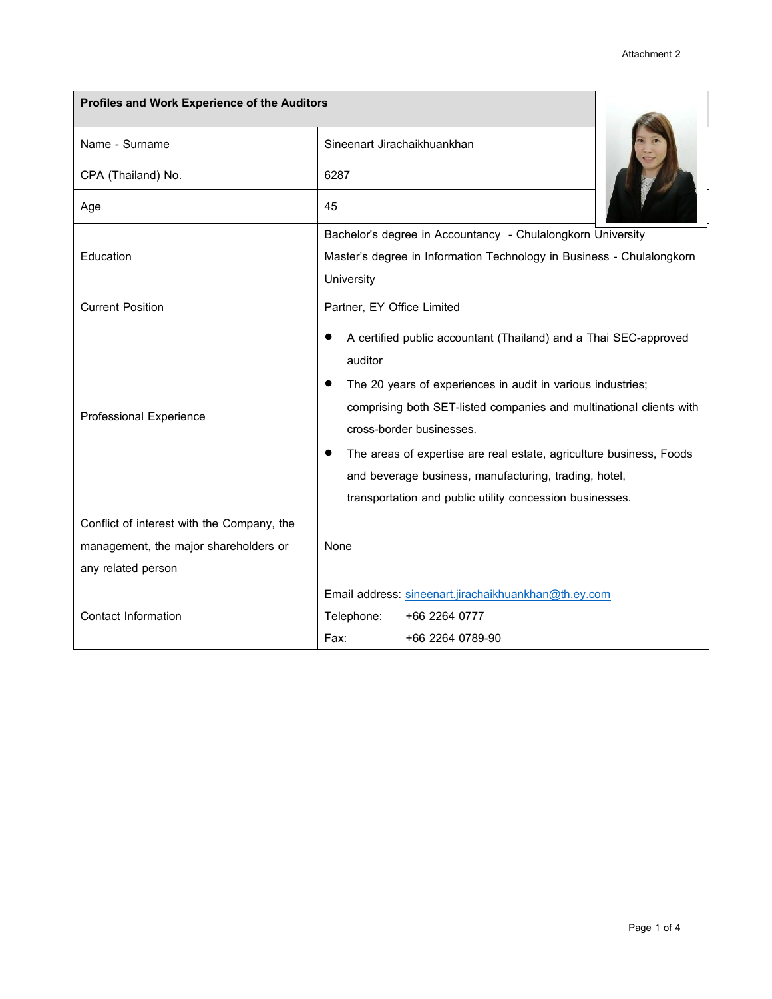| Profiles and Work Experience of the Auditors                                                              |                                                                                                                                                                                                                                                                                                                                                                                                                                           |  |
|-----------------------------------------------------------------------------------------------------------|-------------------------------------------------------------------------------------------------------------------------------------------------------------------------------------------------------------------------------------------------------------------------------------------------------------------------------------------------------------------------------------------------------------------------------------------|--|
| Name - Surname                                                                                            | Sineenart Jirachaikhuankhan                                                                                                                                                                                                                                                                                                                                                                                                               |  |
| CPA (Thailand) No.                                                                                        | 6287                                                                                                                                                                                                                                                                                                                                                                                                                                      |  |
| Age                                                                                                       | 45                                                                                                                                                                                                                                                                                                                                                                                                                                        |  |
| Education                                                                                                 | Bachelor's degree in Accountancy - Chulalongkorn University<br>Master's degree in Information Technology in Business - Chulalongkorn<br>University                                                                                                                                                                                                                                                                                        |  |
| <b>Current Position</b>                                                                                   | Partner, EY Office Limited                                                                                                                                                                                                                                                                                                                                                                                                                |  |
| Professional Experience                                                                                   | A certified public accountant (Thailand) and a Thai SEC-approved<br>auditor<br>The 20 years of experiences in audit in various industries;<br>comprising both SET-listed companies and multinational clients with<br>cross-border businesses.<br>The areas of expertise are real estate, agriculture business, Foods<br>and beverage business, manufacturing, trading, hotel,<br>transportation and public utility concession businesses. |  |
| Conflict of interest with the Company, the<br>management, the major shareholders or<br>any related person | None                                                                                                                                                                                                                                                                                                                                                                                                                                      |  |
| Contact Information                                                                                       | Email address: sineenart.jirachaikhuankhan@th.ey.com<br>Telephone:<br>+66 2264 0777<br>Fax:<br>+66 2264 0789-90                                                                                                                                                                                                                                                                                                                           |  |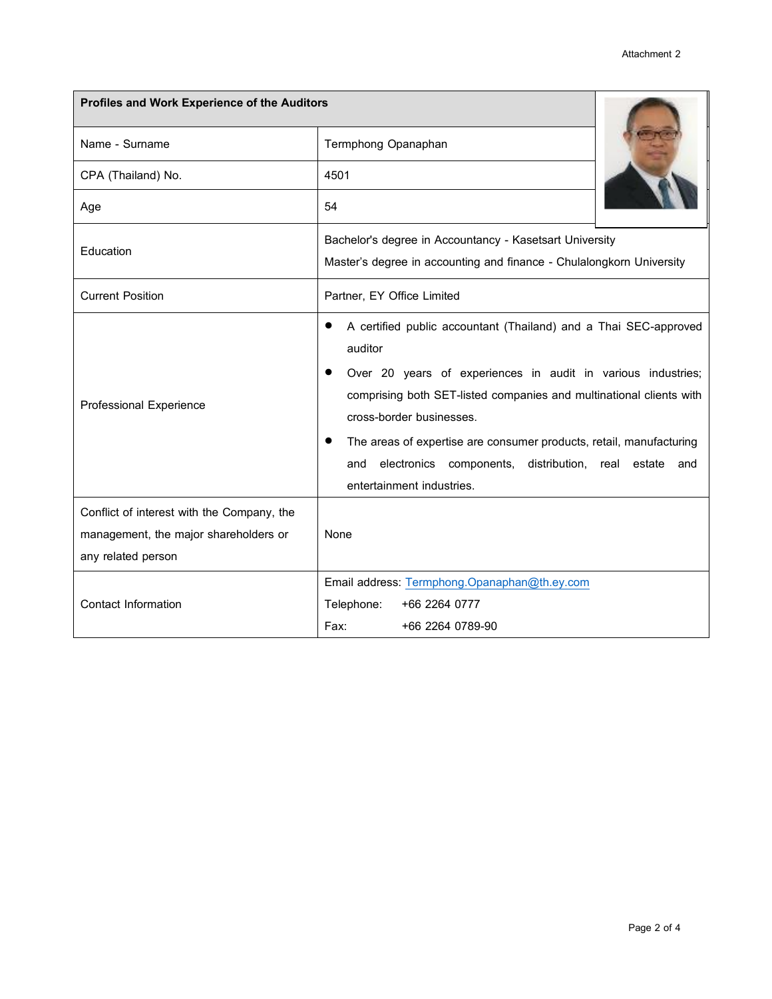| Profiles and Work Experience of the Auditors                                                              |                                                                                                                                                                                                                                                                                                                                                                                                                       |  |
|-----------------------------------------------------------------------------------------------------------|-----------------------------------------------------------------------------------------------------------------------------------------------------------------------------------------------------------------------------------------------------------------------------------------------------------------------------------------------------------------------------------------------------------------------|--|
| Name - Surname                                                                                            | Termphong Opanaphan                                                                                                                                                                                                                                                                                                                                                                                                   |  |
| CPA (Thailand) No.                                                                                        | 4501                                                                                                                                                                                                                                                                                                                                                                                                                  |  |
| Age                                                                                                       | 54                                                                                                                                                                                                                                                                                                                                                                                                                    |  |
| Education                                                                                                 | Bachelor's degree in Accountancy - Kasetsart University<br>Master's degree in accounting and finance - Chulalongkorn University                                                                                                                                                                                                                                                                                       |  |
| <b>Current Position</b>                                                                                   | Partner, EY Office Limited                                                                                                                                                                                                                                                                                                                                                                                            |  |
| <b>Professional Experience</b>                                                                            | A certified public accountant (Thailand) and a Thai SEC-approved<br>auditor<br>Over 20 years of experiences in audit in various industries;<br>comprising both SET-listed companies and multinational clients with<br>cross-border businesses.<br>The areas of expertise are consumer products, retail, manufacturing<br>electronics components, distribution, real estate<br>and<br>and<br>entertainment industries. |  |
| Conflict of interest with the Company, the<br>management, the major shareholders or<br>any related person | <b>None</b>                                                                                                                                                                                                                                                                                                                                                                                                           |  |
| Contact Information                                                                                       | Email address: Termphong.Opanaphan@th.ey.com<br>Telephone:<br>+66 2264 0777<br>Fax:<br>+66 2264 0789-90                                                                                                                                                                                                                                                                                                               |  |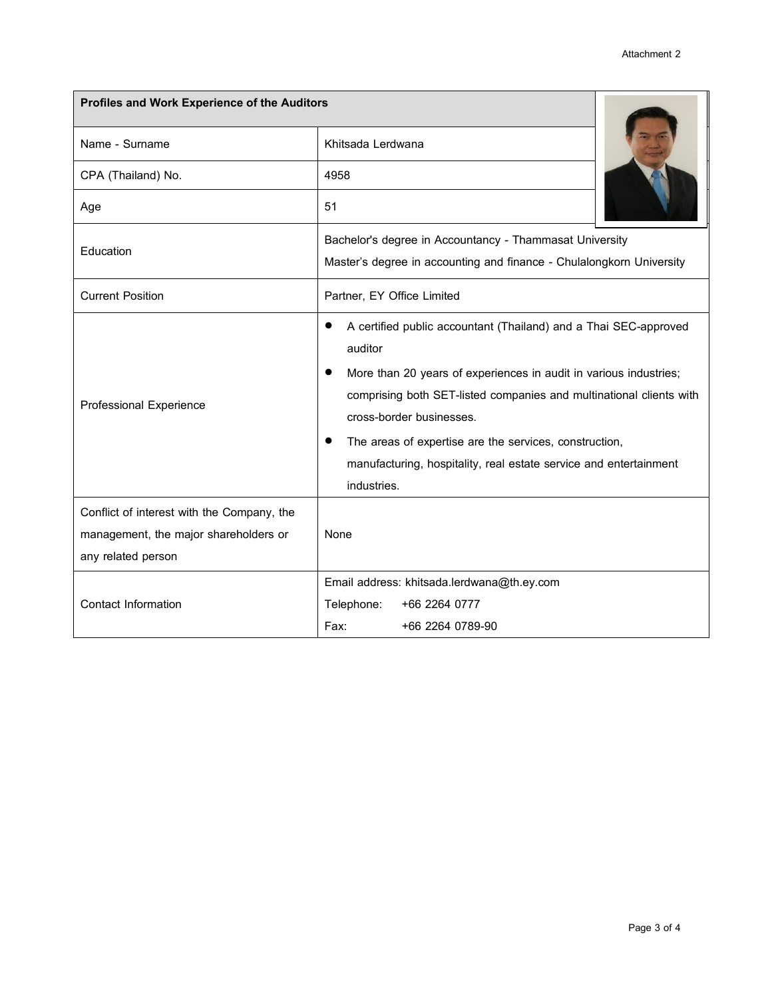| Profiles and Work Experience of the Auditors                                                              |                                                                                                                                                                                                                                                                                                                                                                                                   |  |
|-----------------------------------------------------------------------------------------------------------|---------------------------------------------------------------------------------------------------------------------------------------------------------------------------------------------------------------------------------------------------------------------------------------------------------------------------------------------------------------------------------------------------|--|
| Name - Surname                                                                                            | Khitsada Lerdwana                                                                                                                                                                                                                                                                                                                                                                                 |  |
| CPA (Thailand) No.                                                                                        | 4958                                                                                                                                                                                                                                                                                                                                                                                              |  |
| Age                                                                                                       | 51                                                                                                                                                                                                                                                                                                                                                                                                |  |
| Education                                                                                                 | Bachelor's degree in Accountancy - Thammasat University<br>Master's degree in accounting and finance - Chulalongkorn University                                                                                                                                                                                                                                                                   |  |
| <b>Current Position</b>                                                                                   | Partner, EY Office Limited                                                                                                                                                                                                                                                                                                                                                                        |  |
| <b>Professional Experience</b>                                                                            | A certified public accountant (Thailand) and a Thai SEC-approved<br>auditor<br>More than 20 years of experiences in audit in various industries;<br>comprising both SET-listed companies and multinational clients with<br>cross-border businesses.<br>The areas of expertise are the services, construction,<br>manufacturing, hospitality, real estate service and entertainment<br>industries. |  |
| Conflict of interest with the Company, the<br>management, the major shareholders or<br>any related person | <b>None</b>                                                                                                                                                                                                                                                                                                                                                                                       |  |
| <b>Contact Information</b>                                                                                | Email address: khitsada.lerdwana@th.ey.com<br>Telephone:<br>+66 2264 0777<br>Fax:<br>+66 2264 0789-90                                                                                                                                                                                                                                                                                             |  |